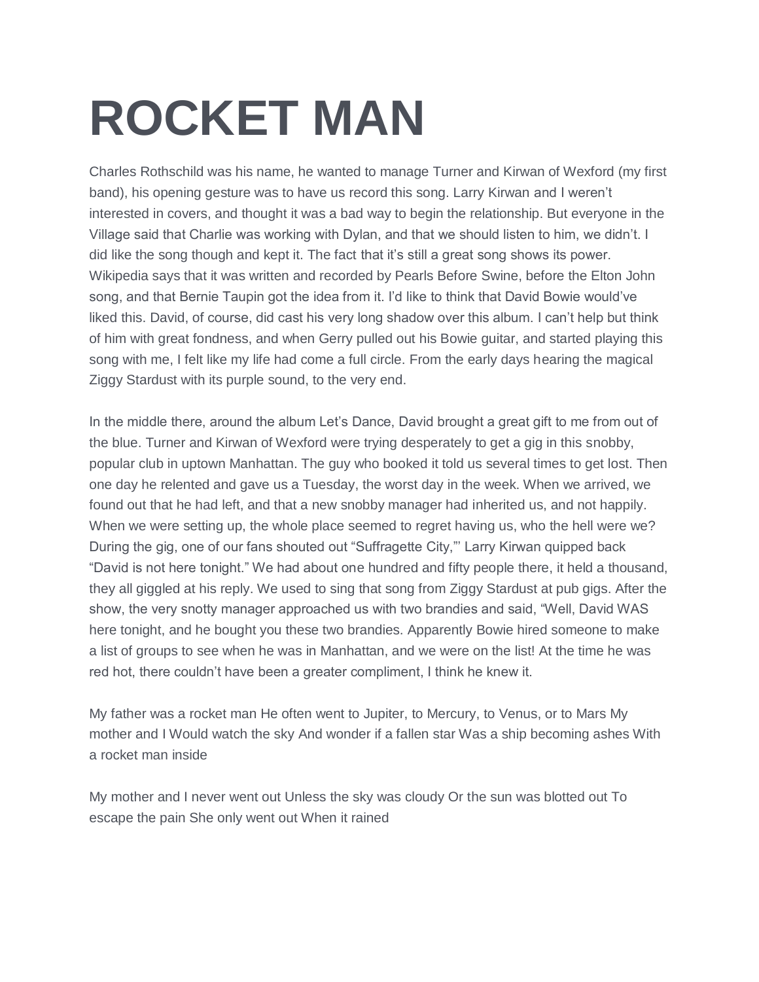## **ROCKET MAN**

Charles Rothschild was his name, he wanted to manage Turner and Kirwan of Wexford (my first band), his opening gesture was to have us record this song. Larry Kirwan and I weren't interested in covers, and thought it was a bad way to begin the relationship. But everyone in the Village said that Charlie was working with Dylan, and that we should listen to him, we didn't. I did like the song though and kept it. The fact that it's still a great song shows its power. Wikipedia says that it was written and recorded by Pearls Before Swine, before the Elton John song, and that Bernie Taupin got the idea from it. I'd like to think that David Bowie would've liked this. David, of course, did cast his very long shadow over this album. I can't help but think of him with great fondness, and when Gerry pulled out his Bowie guitar, and started playing this song with me, I felt like my life had come a full circle. From the early days hearing the magical Ziggy Stardust with its purple sound, to the very end.

In the middle there, around the album Let's Dance, David brought a great gift to me from out of the blue. Turner and Kirwan of Wexford were trying desperately to get a gig in this snobby, popular club in uptown Manhattan. The guy who booked it told us several times to get lost. Then one day he relented and gave us a Tuesday, the worst day in the week. When we arrived, we found out that he had left, and that a new snobby manager had inherited us, and not happily. When we were setting up, the whole place seemed to regret having us, who the hell were we? During the gig, one of our fans shouted out "Suffragette City,"' Larry Kirwan quipped back "David is not here tonight." We had about one hundred and fifty people there, it held a thousand, they all giggled at his reply. We used to sing that song from Ziggy Stardust at pub gigs. After the show, the very snotty manager approached us with two brandies and said, "Well, David WAS here tonight, and he bought you these two brandies. Apparently Bowie hired someone to make a list of groups to see when he was in Manhattan, and we were on the list! At the time he was red hot, there couldn't have been a greater compliment, I think he knew it.

My father was a rocket man He often went to Jupiter, to Mercury, to Venus, or to Mars My mother and I Would watch the sky And wonder if a fallen star Was a ship becoming ashes With a rocket man inside

My mother and I never went out Unless the sky was cloudy Or the sun was blotted out To escape the pain She only went out When it rained